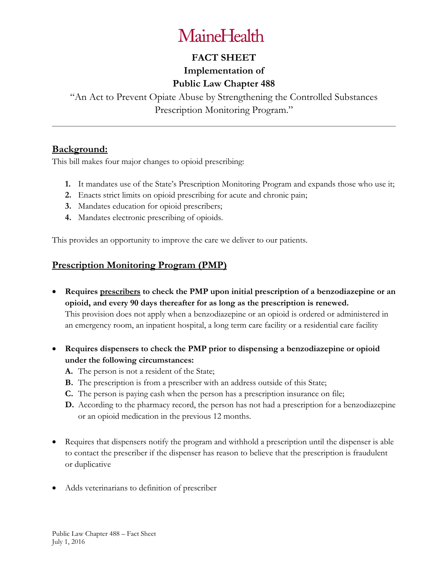## **MaineHealth**

## **FACT SHEET**

## **Implementation of Public Law Chapter 488**

"An Act to Prevent Opiate Abuse by Strengthening the Controlled Substances Prescription Monitoring Program."

### **Background:**

This bill makes four major changes to opioid prescribing:

- **1.** It mandates use of the State's Prescription Monitoring Program and expands those who use it;
- **2.** Enacts strict limits on opioid prescribing for acute and chronic pain;
- **3.** Mandates education for opioid prescribers;
- **4.** Mandates electronic prescribing of opioids.

This provides an opportunity to improve the care we deliver to our patients.

### **Prescription Monitoring Program (PMP)**

- **Requires prescribers to check the PMP upon initial prescription of a benzodiazepine or an opioid, and every 90 days thereafter for as long as the prescription is renewed.**  This provision does not apply when a benzodiazepine or an opioid is ordered or administered in an emergency room, an inpatient hospital, a long term care facility or a residential care facility
- **Requires dispensers to check the PMP prior to dispensing a benzodiazepine or opioid under the following circumstances:**
	- **A.** The person is not a resident of the State;
	- **B.** The prescription is from a prescriber with an address outside of this State;
	- **C.** The person is paying cash when the person has a prescription insurance on file;
	- **D.** According to the pharmacy record, the person has not had a prescription for a benzodiazepine or an opioid medication in the previous 12 months.
- Requires that dispensers notify the program and withhold a prescription until the dispenser is able to contact the prescriber if the dispenser has reason to believe that the prescription is fraudulent or duplicative
- Adds veterinarians to definition of prescriber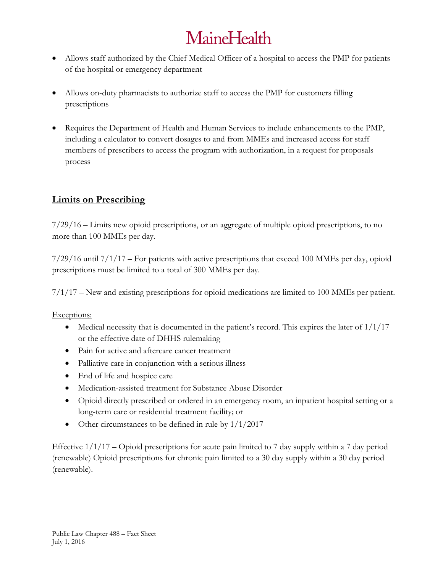# **MaineHealth**

- Allows staff authorized by the Chief Medical Officer of a hospital to access the PMP for patients of the hospital or emergency department
- Allows on-duty pharmacists to authorize staff to access the PMP for customers filling prescriptions
- Requires the Department of Health and Human Services to include enhancements to the PMP, including a calculator to convert dosages to and from MMEs and increased access for staff members of prescribers to access the program with authorization, in a request for proposals process

## **Limits on Prescribing**

7/29/16 – Limits new opioid prescriptions, or an aggregate of multiple opioid prescriptions, to no more than 100 MMEs per day.

7/29/16 until 7/1/17 – For patients with active prescriptions that exceed 100 MMEs per day, opioid prescriptions must be limited to a total of 300 MMEs per day.

 $7/1/17$  – New and existing prescriptions for opioid medications are limited to 100 MMEs per patient.

Exceptions:

- Medical necessity that is documented in the patient's record. This expires the later of  $1/1/17$ or the effective date of DHHS rulemaking
- Pain for active and aftercare cancer treatment
- Palliative care in conjunction with a serious illness
- End of life and hospice care
- Medication-assisted treatment for Substance Abuse Disorder
- Opioid directly prescribed or ordered in an emergency room, an inpatient hospital setting or a long-term care or residential treatment facility; or
- Other circumstances to be defined in rule by  $1/1/2017$

Effective 1/1/17 – Opioid prescriptions for acute pain limited to 7 day supply within a 7 day period (renewable) Opioid prescriptions for chronic pain limited to a 30 day supply within a 30 day period (renewable).